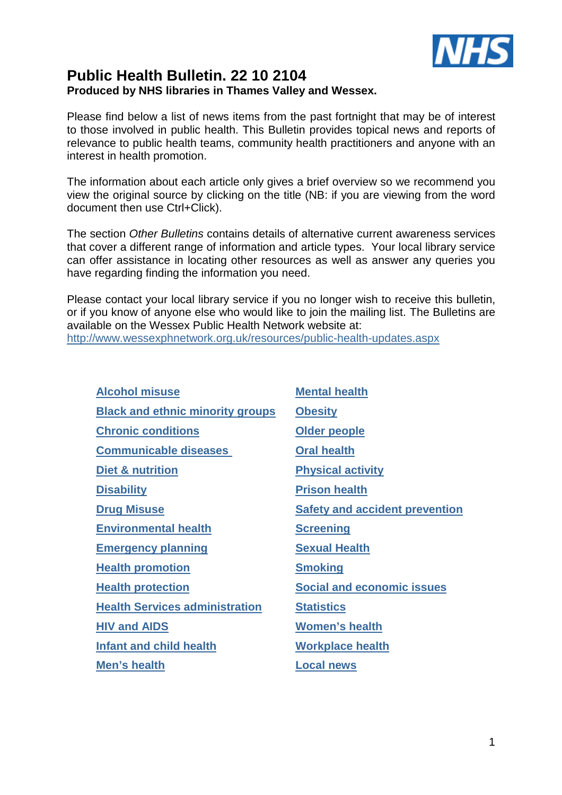

# **Public Health Bulletin. 22 10 2104 Produced by NHS libraries in Thames Valley and Wessex.**

Please find below a list of news items from the past fortnight that may be of interest to those involved in public health. This Bulletin provides topical news and reports of relevance to public health teams, community health practitioners and anyone with an interest in health promotion.

The information about each article only gives a brief overview so we recommend you view the original source by clicking on the title (NB: if you are viewing from the word document then use Ctrl+Click).

The section Other Bulletins contains details of alternative current awareness services that cover a different range of information and article types. Your local library service can offer assistance in locating other resources as well as answer any queries you have regarding finding the information you need.

Please contact your local library service if you no longer wish to receive this bulletin, or if you know of anyone else who would like to join the mailing list. The Bulletins are available on the Wessex Public Health Network website at: http://www.wessexphnetwork.org.uk/resources/public-health-updates.aspx

| <b>Alcohol misuse</b>                   | <b>Mental health</b>                  |
|-----------------------------------------|---------------------------------------|
| <b>Black and ethnic minority groups</b> | <b>Obesity</b>                        |
| <b>Chronic conditions</b>               | Older people                          |
| <b>Communicable diseases</b>            | <b>Oral health</b>                    |
| Diet & nutrition                        | <b>Physical activity</b>              |
| <b>Disability</b>                       | <b>Prison health</b>                  |
| <b>Drug Misuse</b>                      | <b>Safety and accident prevention</b> |
| <b>Environmental health</b>             | <b>Screening</b>                      |
| <b>Emergency planning</b>               | <b>Sexual Health</b>                  |
| <b>Health promotion</b>                 | <b>Smoking</b>                        |
| <b>Health protection</b>                | <b>Social and economic issues</b>     |
| <b>Health Services administration</b>   | <b>Statistics</b>                     |
| <b>HIV and AIDS</b>                     | <b>Women's health</b>                 |
| <b>Infant and child health</b>          | <b>Workplace health</b>               |
| Men's health                            | <b>Local news</b>                     |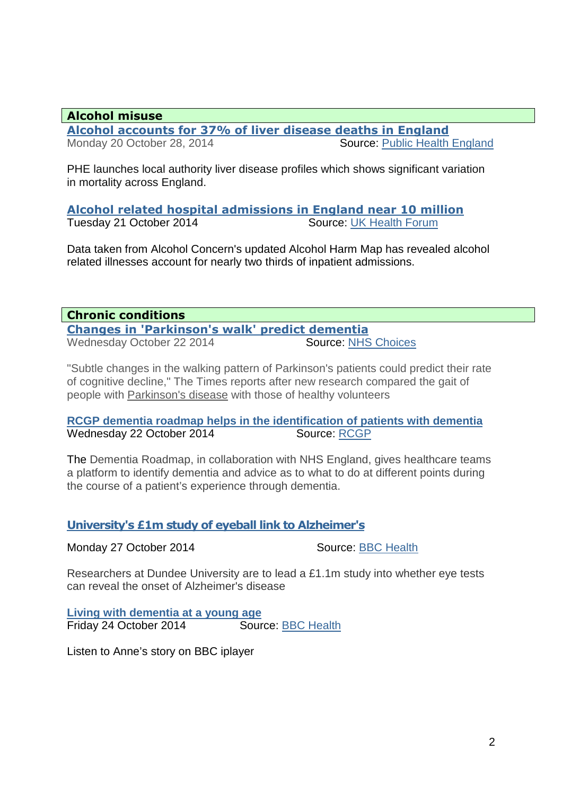## **Alcohol misuse**

**Alcohol accounts for 37% of liver disease deaths in England** Monday 20 October 28, 2014 Source: Public Health England

PHE launches local authority liver disease profiles which shows significant variation in mortality across England.

**Alcohol related hospital admissions in England near 10 million** Tuesday 21 October 2014 Source: UK Health Forum

Data taken from Alcohol Concern's updated Alcohol Harm Map has revealed alcohol related illnesses account for nearly two thirds of inpatient admissions.

**Chronic conditions** 

**Changes in 'Parkinson's walk' predict dementia** Wednesday October 22 2014

"Subtle changes in the walking pattern of Parkinson's patients could predict their rate of cognitive decline," The Times reports after new research compared the gait of people with Parkinson's disease with those of healthy volunteers

**RCGP dementia roadmap helps in the identification of patients with dementia** Wednesday 22 October 2014 Source: RCGP

The Dementia Roadmap, in collaboration with NHS England, gives healthcare teams a platform to identify dementia and advice as to what to do at different points during the course of a patient's experience through dementia.

# **University's £1m study of eyeball link to Alzheimer's**

Monday 27 October 2014 Source: BBC Health

Researchers at Dundee University are to lead a £1.1m study into whether eye tests can reveal the onset of Alzheimer's disease

**Living with dementia at a young age** Friday 24 October 2014 Source: BBC Health

Listen to Anne's story on BBC iplayer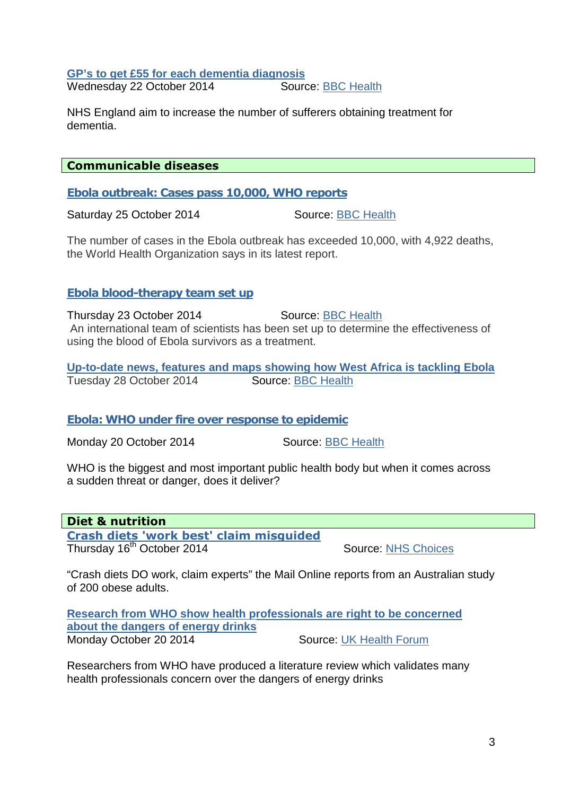#### **GP's to get £55 for each dementia diagnosis**

Wednesday 22 October 2014 Source: BBC Health

NHS England aim to increase the number of sufferers obtaining treatment for dementia.

## **Communicable diseases**

## **Ebola outbreak: Cases pass 10,000, WHO reports**

Saturday 25 October 2014 Source: BBC Health

The number of cases in the Ebola outbreak has exceeded 10,000, with 4,922 deaths, the World Health Organization says in its latest report.

# **Ebola blood-therapy team set up**

Thursday 23 October 2014 Source: BBC Health An international team of scientists has been set up to determine the effectiveness of using the blood of Ebola survivors as a treatment.

**Up-to-date news, features and maps showing how West Africa is tackling Ebola** Tuesday 28 October 2014 Source: BBC Health

# **Ebola: WHO under fire over response to epidemic**

Monday 20 October 2014 Source: BBC Health

WHO is the biggest and most important public health body but when it comes across a sudden threat or danger, does it deliver?

# **Diet & nutrition**

**Crash diets 'work best' claim misguided** Thursday 16<sup>th</sup> October 2014 **Source: NHS Choices** 

"Crash diets DO work, claim experts" the Mail Online reports from an Australian study of 200 obese adults.

**Research from WHO show health professionals are right to be concerned about the dangers of energy drinks** Monday October 20 2014 Source: UK Health Forum

Researchers from WHO have produced a literature review which validates many health professionals concern over the dangers of energy drinks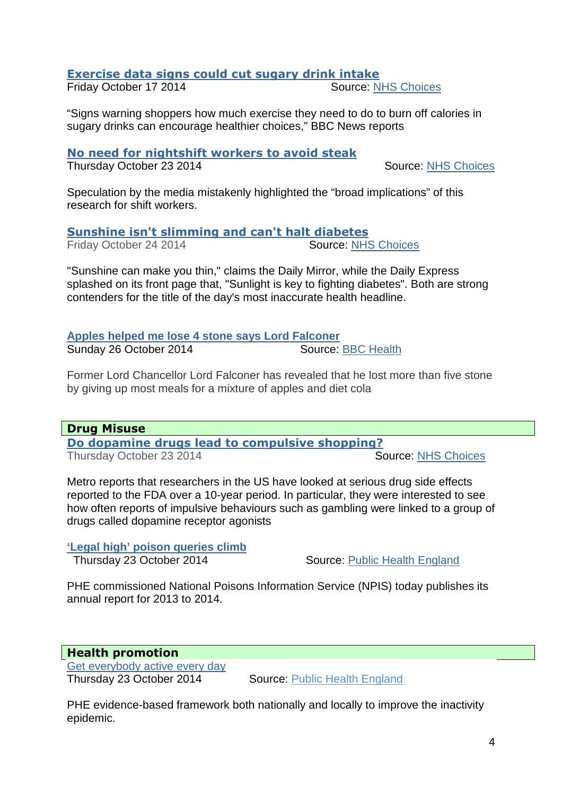# **Exercise data signs could cut sugary drink intake**

Friday October 17 2014 Source: NHS Choices

"Signs warning shoppers how much exercise they need to do to burn off calories in sugary drinks can encourage healthier choices," BBC News reports

## **No need for nightshift workers to avoid steak**

Thursday October 23 2014 Source: NHS Choices

Speculation by the media mistakenly highlighted the "broad implications" of this research for shift workers.

**Sunshine isn't slimming and can't halt diabetes**

Friday October 24 2014 Source: NHS Choices

"Sunshine can make you thin," claims the Daily Mirror, while the Daily Express splashed on its front page that, "Sunlight is key to fighting diabetes". Both are strong contenders for the title of the day's most inaccurate health headline.

**Apples helped me lose 4 stone says Lord Falconer**  Sunday 26 October 2014 Source: BBC Health

Former Lord Chancellor Lord Falconer has revealed that he lost more than five stone by giving up most meals for a mixture of apples and diet cola

# **Drug Misuse**

**Do dopamine drugs lead to compulsive shopping?**

Thursday October 23 2014 Source: NHS Choices

Metro reports that researchers in the US have looked at serious drug side effects reported to the FDA over a 10-year period. In particular, they were interested to see how often reports of impulsive behaviours such as gambling were linked to a group of drugs called dopamine receptor agonists

# **'Legal high' poison queries climb**

Thursday 23 October 2014 Source: Public Health England

PHE commissioned National Poisons Information Service (NPIS) today publishes its annual report for 2013 to 2014.

# **Health promotion**

Get everybody active every day

Thursday 23 October 2014 Source: Public Health England

PHE evidence-based framework both nationally and locally to improve the inactivity epidemic.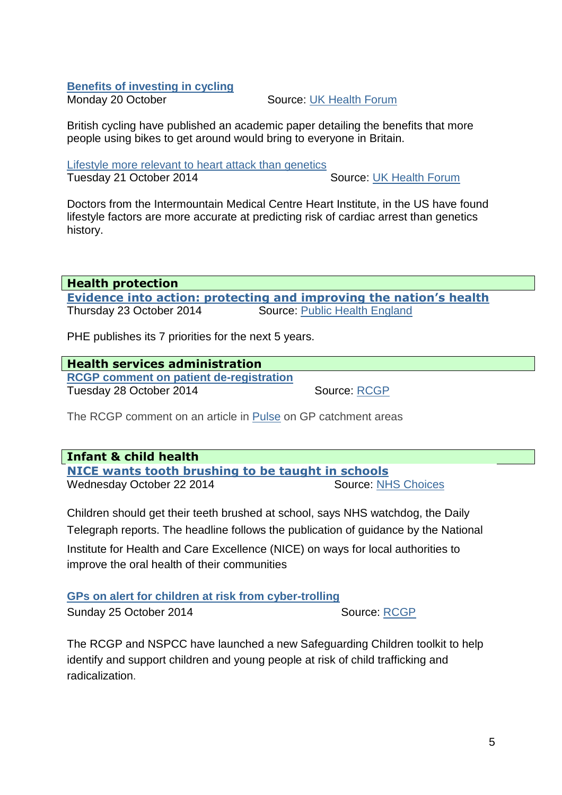## **Benefits of investing in cycling**

Monday 20 October Source: UK Health Forum

British cycling have published an academic paper detailing the benefits that more people using bikes to get around would bring to everyone in Britain.

Lifestyle more relevant to heart attack than genetics Tuesday 21 October 2014 Source: UK Health Forum

Doctors from the Intermountain Medical Centre Heart Institute, in the US have found lifestyle factors are more accurate at predicting risk of cardiac arrest than genetics history.

**Health protection** 

**Evidence into action: protecting and improving the nation's health** Thursday 23 October 2014 Source: Public Health England

PHE publishes its 7 priorities for the next 5 years.

# **Health services administration**

**RCGP comment on patient de-registration** Tuesday 28 October 2014 Source: RCGP

The RCGP comment on an article in Pulse on GP catchment areas

# **Infant & child health**

**NICE wants tooth brushing to be taught in schools** Wednesday October 22 2014 Source: NHS Choices

Children should get their teeth brushed at school, says NHS watchdog, the Daily Telegraph reports. The headline follows the publication of guidance by the National Institute for Health and Care Excellence (NICE) on ways for local authorities to

improve the oral health of their communities

**GPs on alert for children at risk from cyber-trolling** Sunday 25 October 2014 Source: RCGP

The RCGP and NSPCC have launched a new Safeguarding Children toolkit to help identify and support children and young people at risk of child trafficking and radicalization.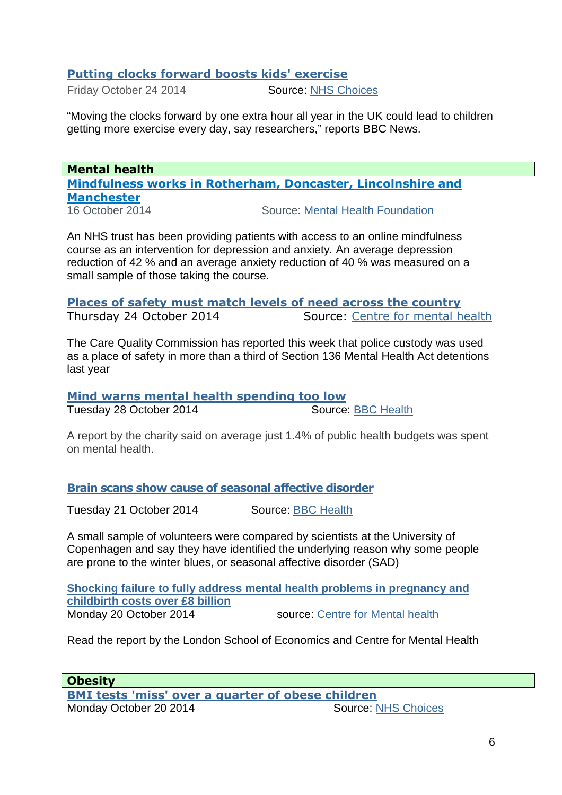# **Putting clocks forward boosts kids' exercise**

Friday October 24 2014 Source: NHS Choices

"Moving the clocks forward by one extra hour all year in the UK could lead to children getting more exercise every day, say researchers," reports BBC News.

**Mental health Mindfulness works in Rotherham, Doncaster, Lincolnshire and Manchester** 

16 October 2014 Source: Mental Health Foundation

An NHS trust has been providing patients with access to an online mindfulness course as an intervention for depression and anxiety. An average depression reduction of 42 % and an average anxiety reduction of 40 % was measured on a small sample of those taking the course.

**Places of safety must match levels of need across the country** Thursday 24 October 2014 Source: Centre for mental health

The Care Quality Commission has reported this week that police custody was used as a place of safety in more than a third of Section 136 Mental Health Act detentions last year

**Mind warns mental health spending too low** Tuesday 28 October 2014 Source: BBC Health

A report by the charity said on average just 1.4% of public health budgets was spent on mental health.

**Brain scans show cause of seasonal affective disorder**

Tuesday 21 October 2014 Source: BBC Health

A small sample of volunteers were compared by scientists at the University of Copenhagen and say they have identified the underlying reason why some people are prone to the winter blues, or seasonal affective disorder (SAD)

**Shocking failure to fully address mental health problems in pregnancy and childbirth costs over £8 billion** Monday 20 October 2014 source: Centre for Mental health

Read the report by the London School of Economics and Centre for Mental Health

**Obesity** 

**BMI tests 'miss' over a quarter of obese children** Monday October 20 2014 Source: NHS Choices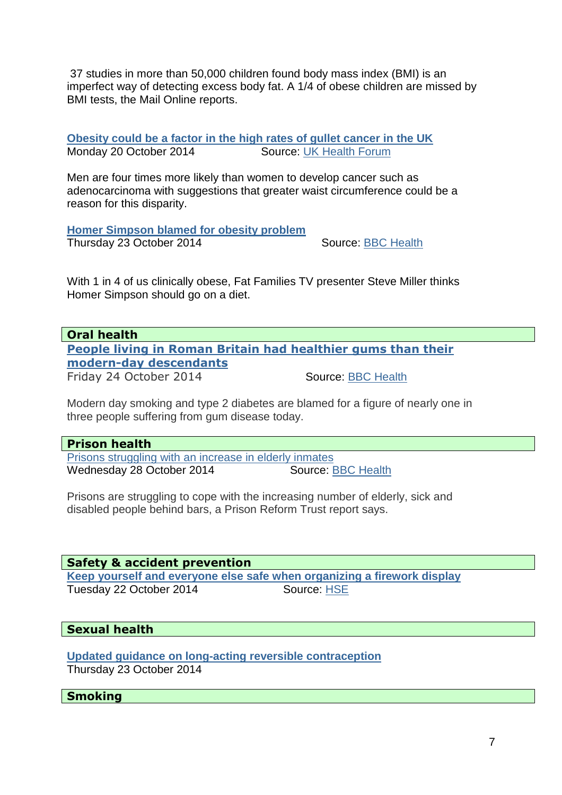37 studies in more than 50,000 children found body mass index (BMI) is an imperfect way of detecting excess body fat. A 1/4 of obese children are missed by BMI tests, the Mail Online reports.

**Obesity could be a factor in the high rates of gullet cancer in the UK** Monday 20 October 2014 Source: UK Health Forum

Men are four times more likely than women to develop cancer such as adenocarcinoma with suggestions that greater waist circumference could be a reason for this disparity.

**Homer Simpson blamed for obesity problem** 

Thursday 23 October 2014 Source: BBC Health

With 1 in 4 of us clinically obese, Fat Families TV presenter Steve Miller thinks Homer Simpson should go on a diet.

#### **Oral health**

**People living in Roman Britain had healthier gums than their modern-day descendants**

Friday 24 October 2014 Source: BBC Health

Modern day smoking and type 2 diabetes are blamed for a figure of nearly one in three people suffering from gum disease today.

**Prison health** 

Prisons struggling with an increase in elderly inmates Wednesday 28 October 2014 Source: BBC Health

Prisons are struggling to cope with the increasing number of elderly, sick and disabled people behind bars, a Prison Reform Trust report says.

**Safety & accident prevention Keep yourself and everyone else safe when organizing a firework display** Tuesday 22 October 2014 Source: HSE

#### **Sexual health**

**Updated guidance on long-acting reversible contraception** Thursday 23 October 2014

#### **Smoking**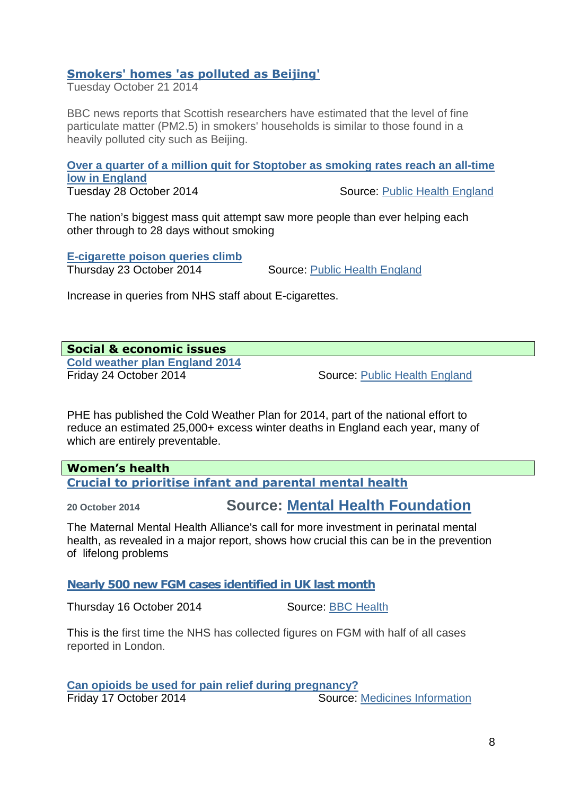# **Smokers' homes 'as polluted as Beijing'**

Tuesday October 21 2014

BBC news reports that Scottish researchers have estimated that the level of fine particulate matter (PM2.5) in smokers' households is similar to those found in a heavily polluted city such as Beijing.

#### **Over a quarter of a million quit for Stoptober as smoking rates reach an all-time low in England** Tuesday 28 October 2014 **Source: Public Health England**

The nation's biggest mass quit attempt saw more people than ever helping each other through to 28 days without smoking

**E-cigarette poison queries climb**

Thursday 23 October 2014 Source: Public Health England

Increase in queries from NHS staff about E-cigarettes.

#### **Social & economic issues**

**Cold weather plan England 2014** Friday 24 October 2014 Source: Public Health England

PHE has published the Cold Weather Plan for 2014, part of the national effort to reduce an estimated 25,000+ excess winter deaths in England each year, many of which are entirely preventable.

#### **Women's health Crucial to prioritise infant and parental mental health**

# **20 October 2014 Source: Mental Health Foundation**

The Maternal Mental Health Alliance's call for more investment in perinatal mental health, as revealed in a major report, shows how crucial this can be in the prevention of lifelong problems

#### **Nearly 500 new FGM cases identified in UK last month**

Thursday 16 October 2014 Source: BBC Health

This is the first time the NHS has collected figures on FGM with half of all cases reported in London.

**Can opioids be used for pain relief during pregnancy?** Friday 17 October 2014 Source: Medicines Information